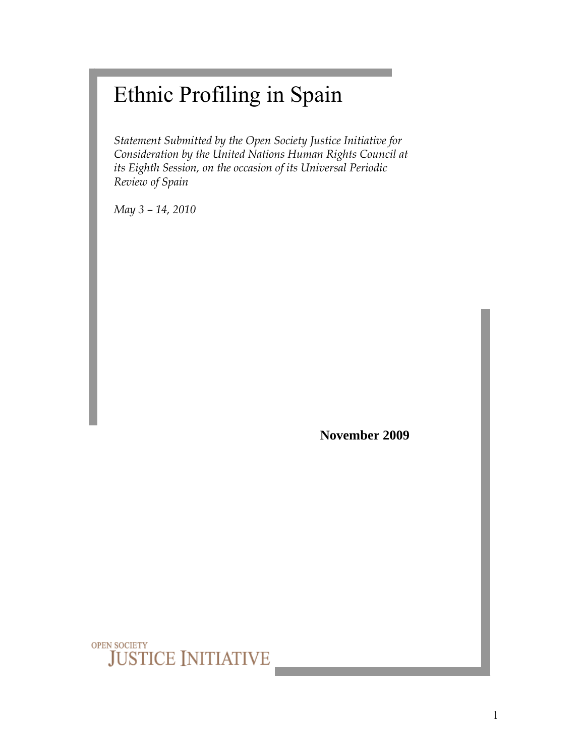# Ethnic Profiling in Spain

*Statement Submitted by the Open Society Justice Initiative for Consideration by the United Nations Human Rights Council at its Eighth Session, on the occasion of its Universal Periodic Review of Spain* 

*May 3 – 14, 2010* 

**November 2009**

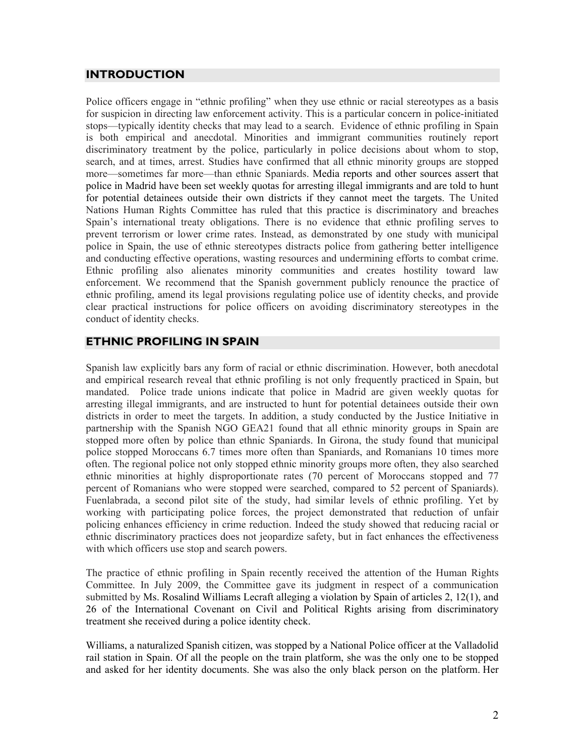#### **INTRODUCTION**

Police officers engage in "ethnic profiling" when they use ethnic or racial stereotypes as a basis for suspicion in directing law enforcement activity. This is a particular concern in police-initiated stops—typically identity checks that may lead to a search. Evidence of ethnic profiling in Spain is both empirical and anecdotal. Minorities and immigrant communities routinely report discriminatory treatment by the police, particularly in police decisions about whom to stop, search, and at times, arrest. Studies have confirmed that all ethnic minority groups are stopped more—sometimes far more—than ethnic Spaniards. Media reports and other sources assert that police in Madrid have been set weekly quotas for arresting illegal immigrants and are told to hunt for potential detainees outside their own districts if they cannot meet the targets. The United Nations Human Rights Committee has ruled that this practice is discriminatory and breaches Spain's international treaty obligations. There is no evidence that ethnic profiling serves to prevent terrorism or lower crime rates. Instead, as demonstrated by one study with municipal police in Spain, the use of ethnic stereotypes distracts police from gathering better intelligence and conducting effective operations, wasting resources and undermining efforts to combat crime. Ethnic profiling also alienates minority communities and creates hostility toward law enforcement. We recommend that the Spanish government publicly renounce the practice of ethnic profiling, amend its legal provisions regulating police use of identity checks, and provide clear practical instructions for police officers on avoiding discriminatory stereotypes in the conduct of identity checks.

### **ETHNIC PROFILING IN SPAIN**

Spanish law explicitly bars any form of racial or ethnic discrimination. However, both anecdotal and empirical research reveal that ethnic profiling is not only frequently practiced in Spain, but mandated. Police trade unions indicate that police in Madrid are given weekly quotas for arresting illegal immigrants, and are instructed to hunt for potential detainees outside their own districts in order to meet the targets. In addition, a study conducted by the Justice Initiative in partnership with the Spanish NGO GEA21 found that all ethnic minority groups in Spain are stopped more often by police than ethnic Spaniards. In Girona, the study found that municipal police stopped Moroccans 6.7 times more often than Spaniards, and Romanians 10 times more often. The regional police not only stopped ethnic minority groups more often, they also searched ethnic minorities at highly disproportionate rates (70 percent of Moroccans stopped and 77 percent of Romanians who were stopped were searched, compared to 52 percent of Spaniards). Fuenlabrada, a second pilot site of the study, had similar levels of ethnic profiling. Yet by working with participating police forces, the project demonstrated that reduction of unfair policing enhances efficiency in crime reduction. Indeed the study showed that reducing racial or ethnic discriminatory practices does not jeopardize safety, but in fact enhances the effectiveness with which officers use stop and search powers.

The practice of ethnic profiling in Spain recently received the attention of the Human Rights Committee. In July 2009, the Committee gave its judgment in respect of a communication submitted by Ms. Rosalind Williams Lecraft alleging a violation by Spain of articles 2, 12(1), and 26 of the International Covenant on Civil and Political Rights arising from discriminatory treatment she received during a police identity check.

Williams, a naturalized Spanish citizen, was stopped by a National Police officer at the Valladolid rail station in Spain. Of all the people on the train platform, she was the only one to be stopped and asked for her identity documents. She was also the only black person on the platform. Her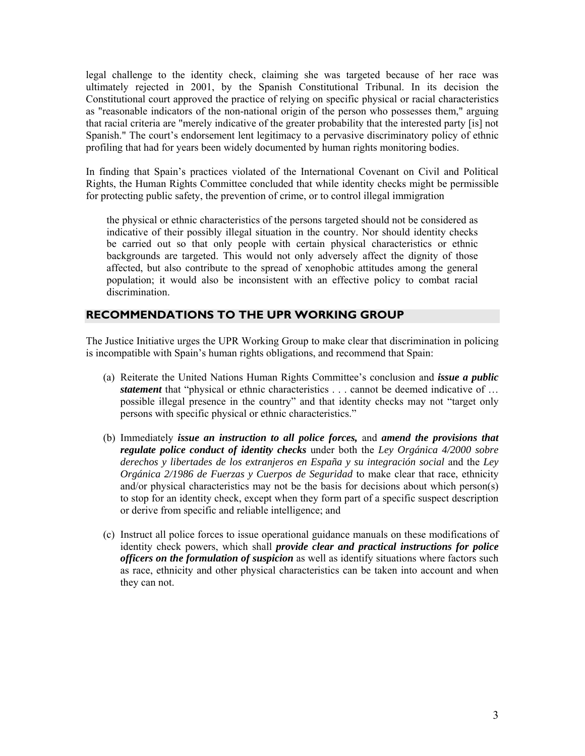legal challenge to the identity check, claiming she was targeted because of her race was ultimately rejected in 2001, by the Spanish Constitutional Tribunal. In its decision the Constitutional court approved the practice of relying on specific physical or racial characteristics as "reasonable indicators of the non-national origin of the person who possesses them," arguing that racial criteria are "merely indicative of the greater probability that the interested party [is] not Spanish." The court's endorsement lent legitimacy to a pervasive discriminatory policy of ethnic profiling that had for years been widely documented by human rights monitoring bodies.

In finding that Spain's practices violated of the International Covenant on Civil and Political Rights, the Human Rights Committee concluded that while identity checks might be permissible for protecting public safety, the prevention of crime, or to control illegal immigration

the physical or ethnic characteristics of the persons targeted should not be considered as indicative of their possibly illegal situation in the country. Nor should identity checks be carried out so that only people with certain physical characteristics or ethnic backgrounds are targeted. This would not only adversely affect the dignity of those affected, but also contribute to the spread of xenophobic attitudes among the general population; it would also be inconsistent with an effective policy to combat racial discrimination.

#### **RECOMMENDATIONS TO THE UPR WORKING GROUP**

The Justice Initiative urges the UPR Working Group to make clear that discrimination in policing is incompatible with Spain's human rights obligations, and recommend that Spain:

- (a) Reiterate the United Nations Human Rights Committee's conclusion and *issue a public statement* that "physical or ethnic characteristics . . . cannot be deemed indicative of ... possible illegal presence in the country" and that identity checks may not "target only persons with specific physical or ethnic characteristics."
- (b) Immediately *issue an instruction to all police forces,* and *amend the provisions that regulate police conduct of identity checks* under both the *Ley Orgánica 4/2000 sobre derechos y libertades de los extranjeros en España y su integración social* and the *Ley Orgánica 2/1986 de Fuerzas y Cuerpos de Seguridad* to make clear that race, ethnicity and/or physical characteristics may not be the basis for decisions about which person(s) to stop for an identity check, except when they form part of a specific suspect description or derive from specific and reliable intelligence; and
- (c) Instruct all police forces to issue operational guidance manuals on these modifications of identity check powers, which shall *provide clear and practical instructions for police officers on the formulation of suspicion* as well as identify situations where factors such as race, ethnicity and other physical characteristics can be taken into account and when they can not.